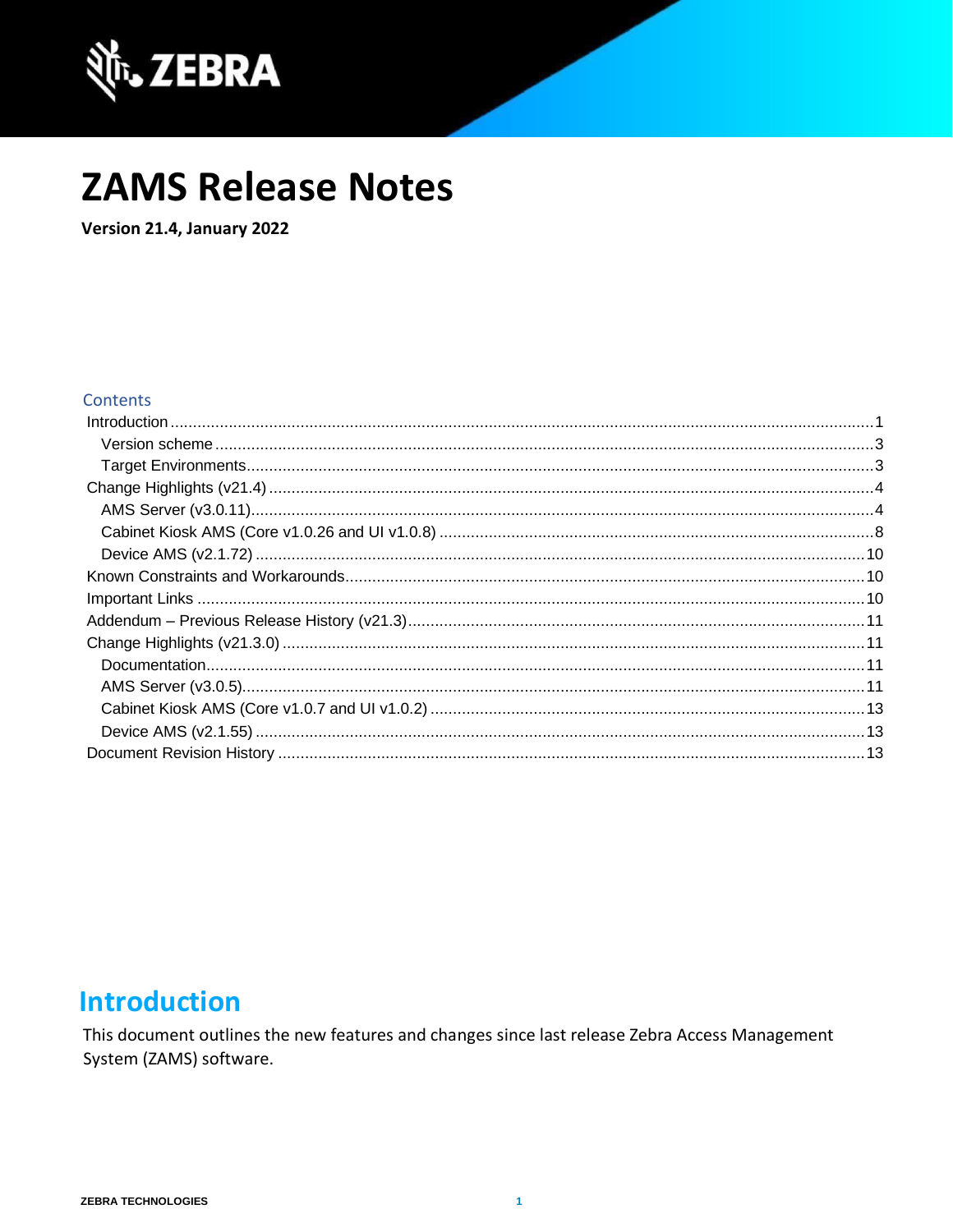

# **ZAMS Release Notes**

Version 21.4, January 2022

#### **Contents**

### <span id="page-0-0"></span>**Introduction**

This document outlines the new features and changes since last release Zebra Access Management System (ZAMS) software.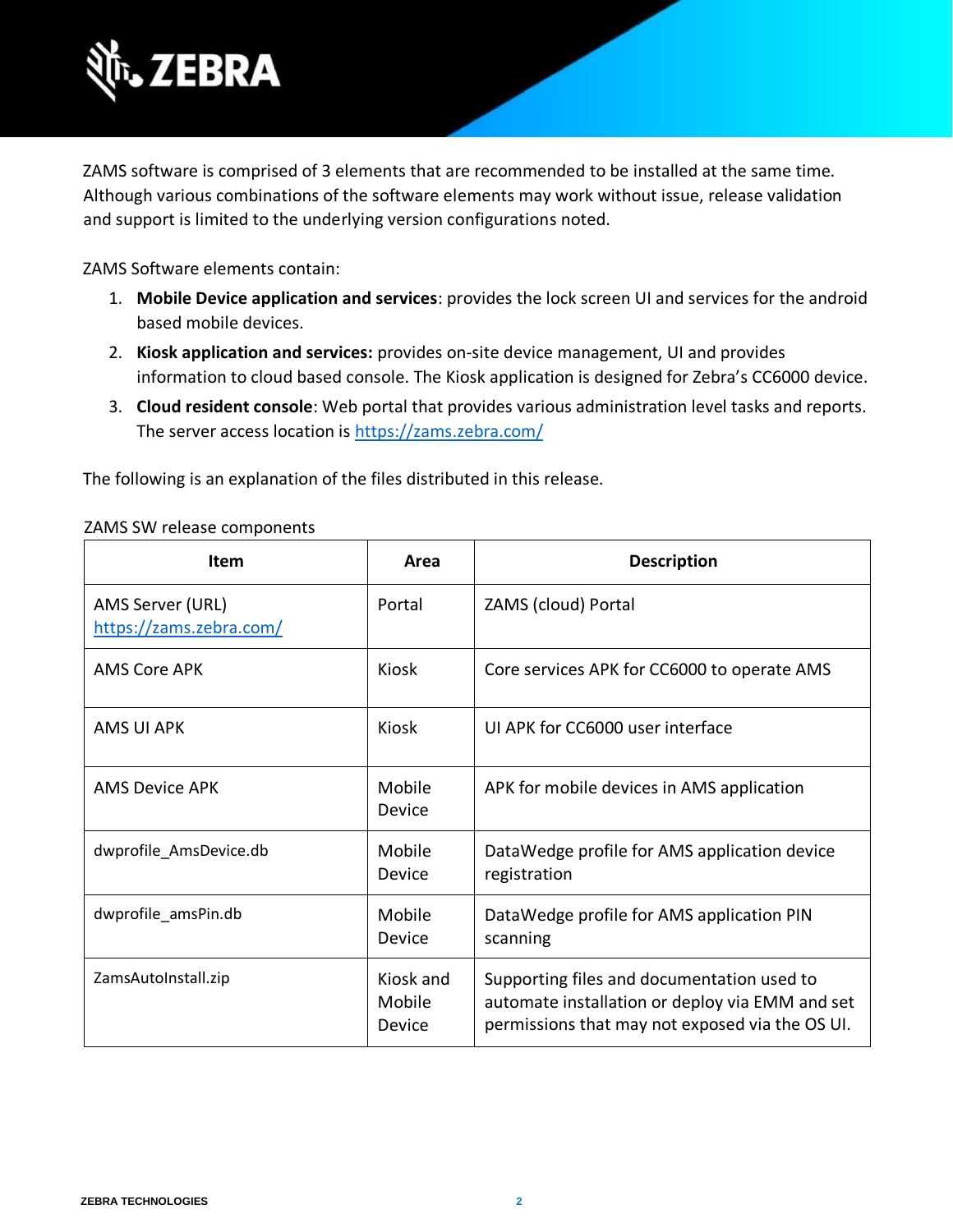

ZAMS software is comprised of 3 elements that are recommended to be installed at the same time. Although various combinations of the software elements may work without issue, release validation and support is limited to the underlying version configurations noted.

ZAMS Software elements contain:

- 1. **Mobile Device application and services**: provides the lock screen UI and services for the android based mobile devices.
- 2. **Kiosk application and services:** provides on-site device management, UI and provides information to cloud based console. The Kiosk application is designed for Zebra's CC6000 device.
- 3. **Cloud resident console**: Web portal that provides various administration level tasks and reports. The server access location is<https://zams.zebra.com/>

The following is an explanation of the files distributed in this release.

#### ZAMS SW release components

| <b>Item</b>                                 | Area                          | <b>Description</b>                                                                                                                               |
|---------------------------------------------|-------------------------------|--------------------------------------------------------------------------------------------------------------------------------------------------|
| AMS Server (URL)<br>https://zams.zebra.com/ | Portal                        | ZAMS (cloud) Portal                                                                                                                              |
| AMS Core APK                                | Kiosk                         | Core services APK for CC6000 to operate AMS                                                                                                      |
| <b>AMS UI APK</b>                           | Kiosk                         | UI APK for CC6000 user interface                                                                                                                 |
| AMS Device APK                              | Mobile<br>Device              | APK for mobile devices in AMS application                                                                                                        |
| dwprofile_AmsDevice.db                      | Mobile<br>Device              | DataWedge profile for AMS application device<br>registration                                                                                     |
| dwprofile_amsPin.db                         | Mobile<br>Device              | DataWedge profile for AMS application PIN<br>scanning                                                                                            |
| ZamsAutoInstall.zip                         | Kiosk and<br>Mobile<br>Device | Supporting files and documentation used to<br>automate installation or deploy via EMM and set<br>permissions that may not exposed via the OS UI. |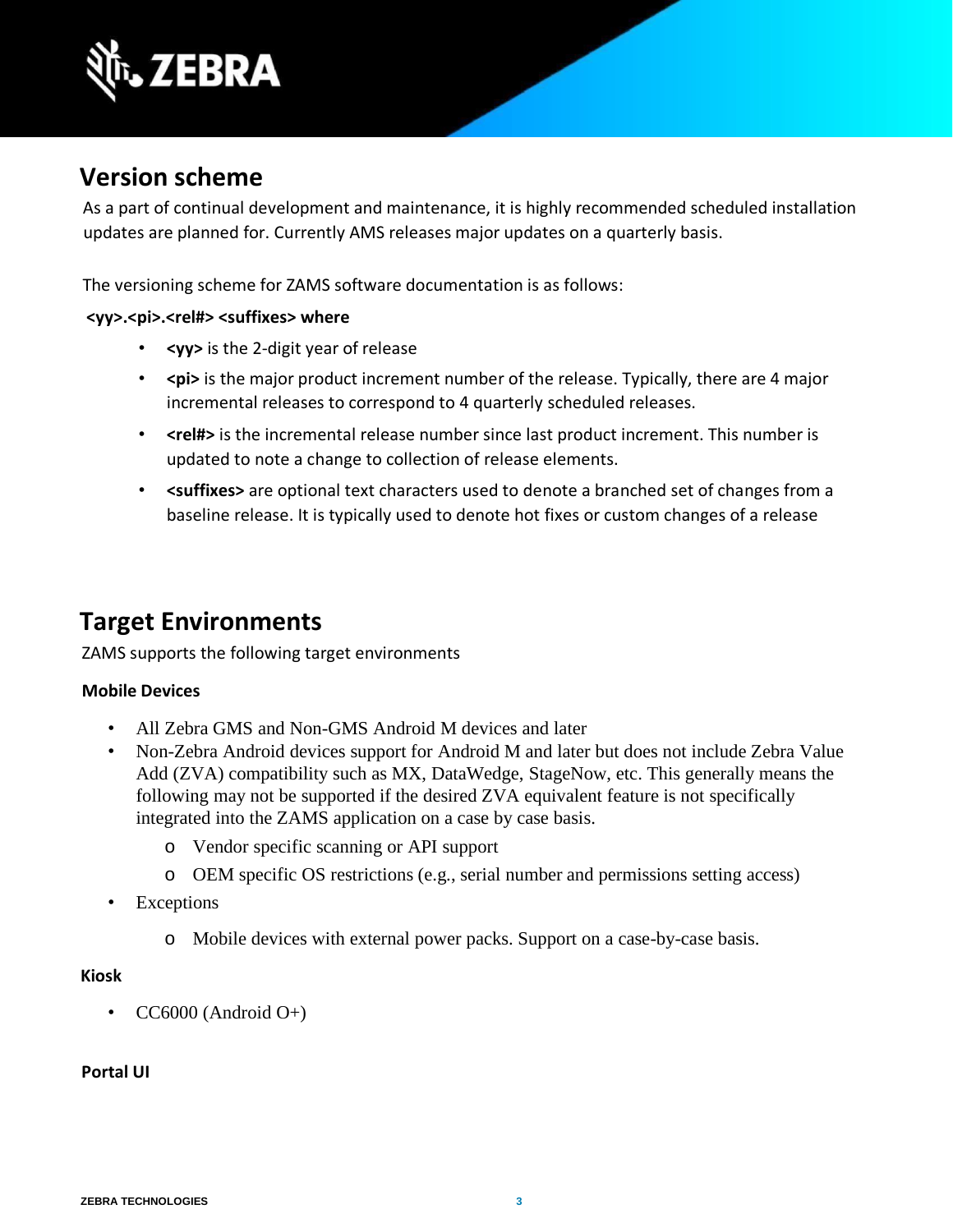

### <span id="page-2-0"></span>**Version scheme**

As a part of continual development and maintenance, it is highly recommended scheduled installation updates are planned for. Currently AMS releases major updates on a quarterly basis.

The versioning scheme for ZAMS software documentation is as follows:

#### <wy>.<pi>.<rel#><suffixes> where

- **<yy>** is the 2-digit year of release
- $\epsilon$  **>**  $\epsilon$  > is the major product increment number of the release. Typically, there are 4 major incremental releases to correspond to 4 quarterly scheduled releases.
- <rel#> is the incremental release number since last product increment. This number is updated to note a change to collection of release elements.
- **<suffixes>** are optional text characters used to denote a branched set of changes from a baseline release. It is typically used to denote hot fixes or custom changes of a release

### <span id="page-2-1"></span>**Target Environments**

ZAMS supports the following target environments

#### **Mobile Devices**

- All Zebra GMS and Non-GMS Android M devices and later
- Non-Zebra Android devices support for Android M and later but does not include Zebra Value Add (ZVA) compatibility such as MX, DataWedge, StageNow, etc. This generally means the following may not be supported if the desired ZVA equivalent feature is not specifically integrated into the ZAMS application on a case by case basis.
	- o Vendor specific scanning or API support
	- o OEM specific OS restrictions (e.g., serial number and permissions setting access)
- Exceptions
	- o Mobile devices with external power packs. Support on a case-by-case basis.

#### **Kiosk**

• CC6000 (Android  $O+$ )

#### **Portal UI**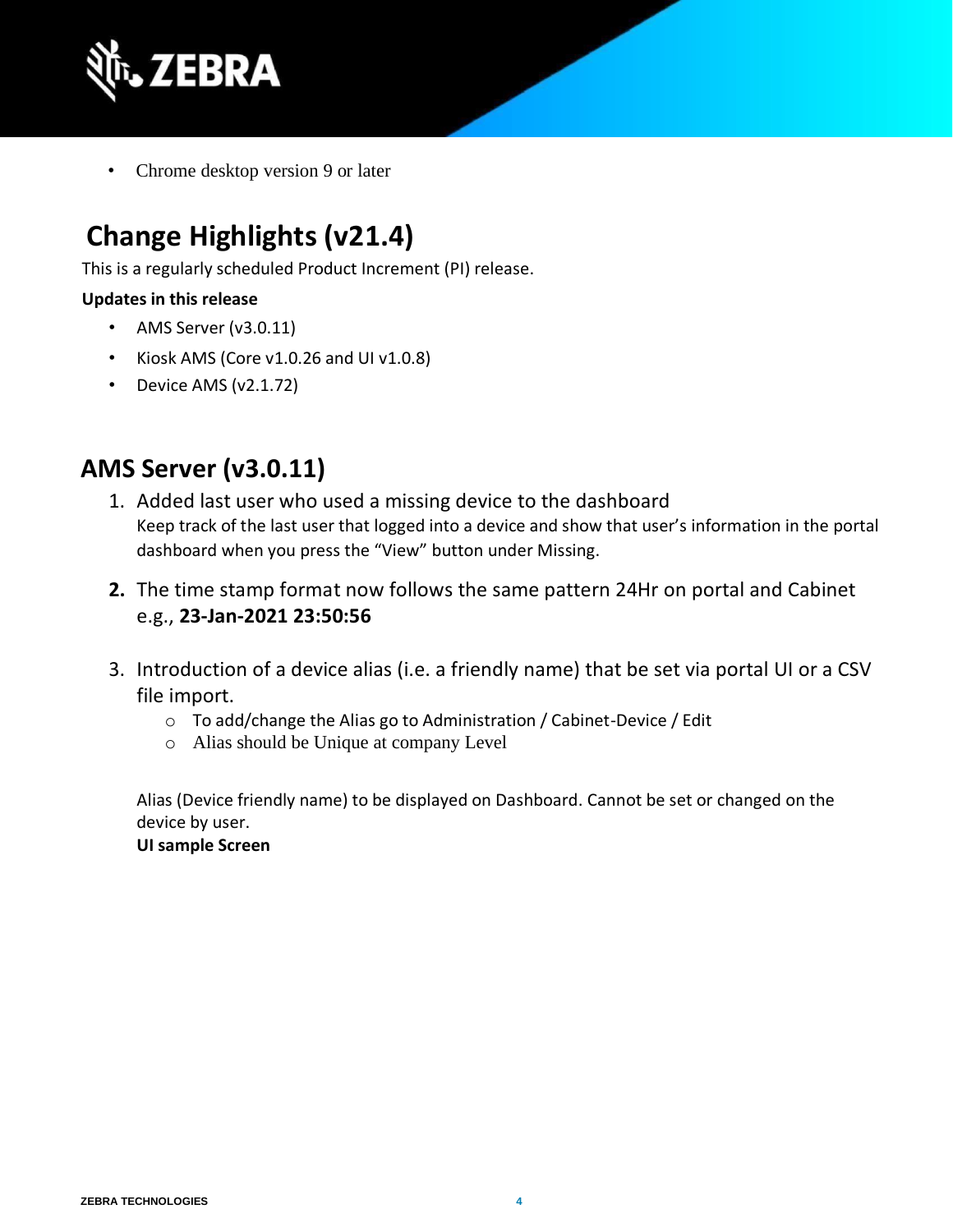

• Chrome desktop version 9 or later

# <span id="page-3-0"></span>**Change Highlights (v21.4)**

This is a regularly scheduled Product Increment (PI) release.

#### **Updates in this release**

- AMS Server (v3.0.11)
- Kiosk AMS (Core v1.0.26 and UI v1.0.8)
- Device AMS (v2.1.72)

### <span id="page-3-1"></span>**AMS Server (v3.0.11)**

- 1. Added last user who used a missing device to the dashboard Keep track of the last user that logged into a device and show that user's information in the portal dashboard when you press the "View" button under Missing.
- **2.** The time stamp format now follows the same pattern 24Hr on portal and Cabinet e.g., **23-Jan-2021 23:50:56**
- 3. Introduction of a device alias (i.e. a friendly name) that be set via portal UI or a CSV file import.
	- o To add/change the Alias go to Administration / Cabinet-Device / Edit
	- o Alias should be Unique at company Level

Alias (Device friendly name) to be displayed on Dashboard. Cannot be set or changed on the device by user.

**UI sample Screen**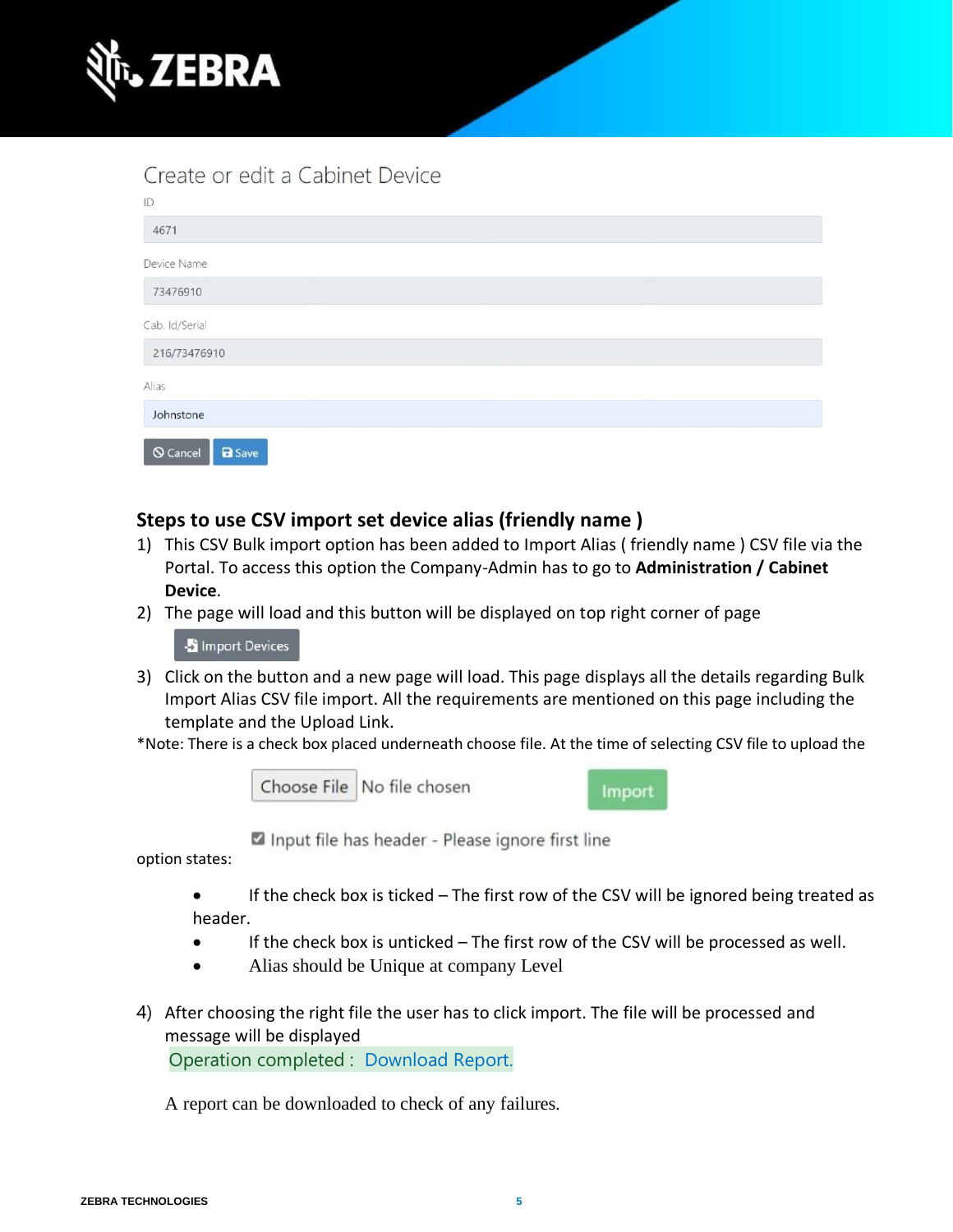

### Create or edit a Cabinet Device

| $ {\mathbb{D}}\>$                |
|----------------------------------|
| 4671                             |
| Device Name                      |
| 73476910                         |
| Cab. Id/Serial                   |
| 216/73476910                     |
| Alias                            |
| Johnstone                        |
| <b>Q</b> Cancel<br><b>a</b> Save |

#### **Steps to use CSV import set device alias (friendly name )**

- 1) This CSV Bulk import option has been added to Import Alias ( friendly name ) CSV file via the Portal. To access this option the Company-Admin has to go to **Administration / Cabinet Device**.
- 2) The page will load and this button will be displayed on top right corner of page

- Import Devices

3) Click on the button and a new page will load. This page displays all the details regarding Bulk Import Alias CSV file import. All the requirements are mentioned on this page including the template and the Upload Link.

\*Note: There is a check box placed underneath choose file. At the time of selecting CSV file to upload the

Choose File No file chosen

Import

Input file has header - Please ignore first line

option states:

• If the check box is ticked – The first row of the CSV will be ignored being treated as header.

- If the check box is unticked The first row of the CSV will be processed as well.
- Alias should be Unique at company Level
- 4) After choosing the right file the user has to click import. The file will be processed and message will be displayed

Operation completed : Download Report.

A report can be downloaded to check of any failures.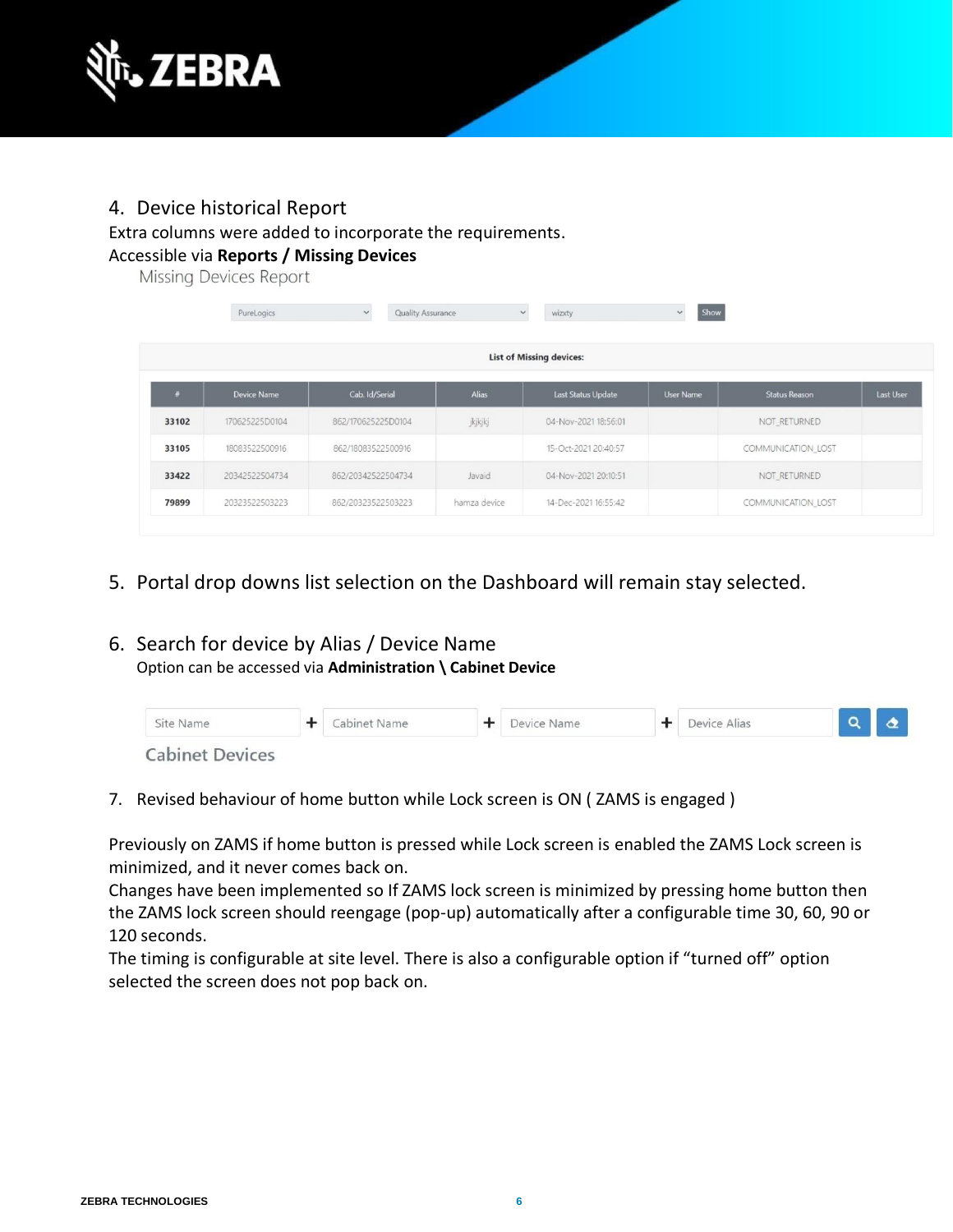

#### 4. Device historical Report

#### Extra columns were added to incorporate the requirements. Accessible via **Reports / Missing Devices**

Missing Devices Report

|       | PureLogics     | $\checkmark$<br><b>Quality Assurance</b> | $\checkmark$ | wizxty                          | Show<br>$\check{~}$ |                      |           |
|-------|----------------|------------------------------------------|--------------|---------------------------------|---------------------|----------------------|-----------|
|       |                |                                          |              | <b>List of Missing devices:</b> |                     |                      |           |
| #     | Device Name    | Cab. Id/Serial                           | <b>Alias</b> | <b>Last Status Update</b>       | <b>User Name</b>    | <b>Status Reason</b> | Last User |
| 33102 | 170625225D0104 | 862/170625225D0104                       | jkjkjkj      | 04-Nov-2021 18:56:01            |                     | NOT_RETURNED         |           |
| 33105 | 18083522500916 | 862/18083522500916                       |              | 15-Oct-2021 20:40:57            |                     | COMMUNICATION_LOST   |           |
| 33422 | 20342522504734 | 862/20342522504734                       | Javaid       | 04-Nov-2021 20:10:51            |                     | NOT_RETURNED         |           |
| 79899 | 20323522503223 | 862/20323522503223                       | hamza device | 14-Dec-2021 16:55:42            |                     | COMMUNICATION_LOST   |           |

5. Portal drop downs list selection on the Dashboard will remain stay selected.

#### 6. Search for device by Alias / Device Name Option can be accessed via **Administration \ Cabinet Device**

| Site Name              | Cabinet Name | Device Name | Device Alias |  |  |
|------------------------|--------------|-------------|--------------|--|--|
| <b>Cabinet Devices</b> |              |             |              |  |  |

7. Revised behaviour of home button while Lock screen is ON ( ZAMS is engaged )

Previously on ZAMS if home button is pressed while Lock screen is enabled the ZAMS Lock screen is minimized, and it never comes back on.

Changes have been implemented so If ZAMS lock screen is minimized by pressing home button then the ZAMS lock screen should reengage (pop-up) automatically after a configurable time 30, 60, 90 or 120 seconds.

The timing is configurable at site level. There is also a configurable option if "turned off" option selected the screen does not pop back on.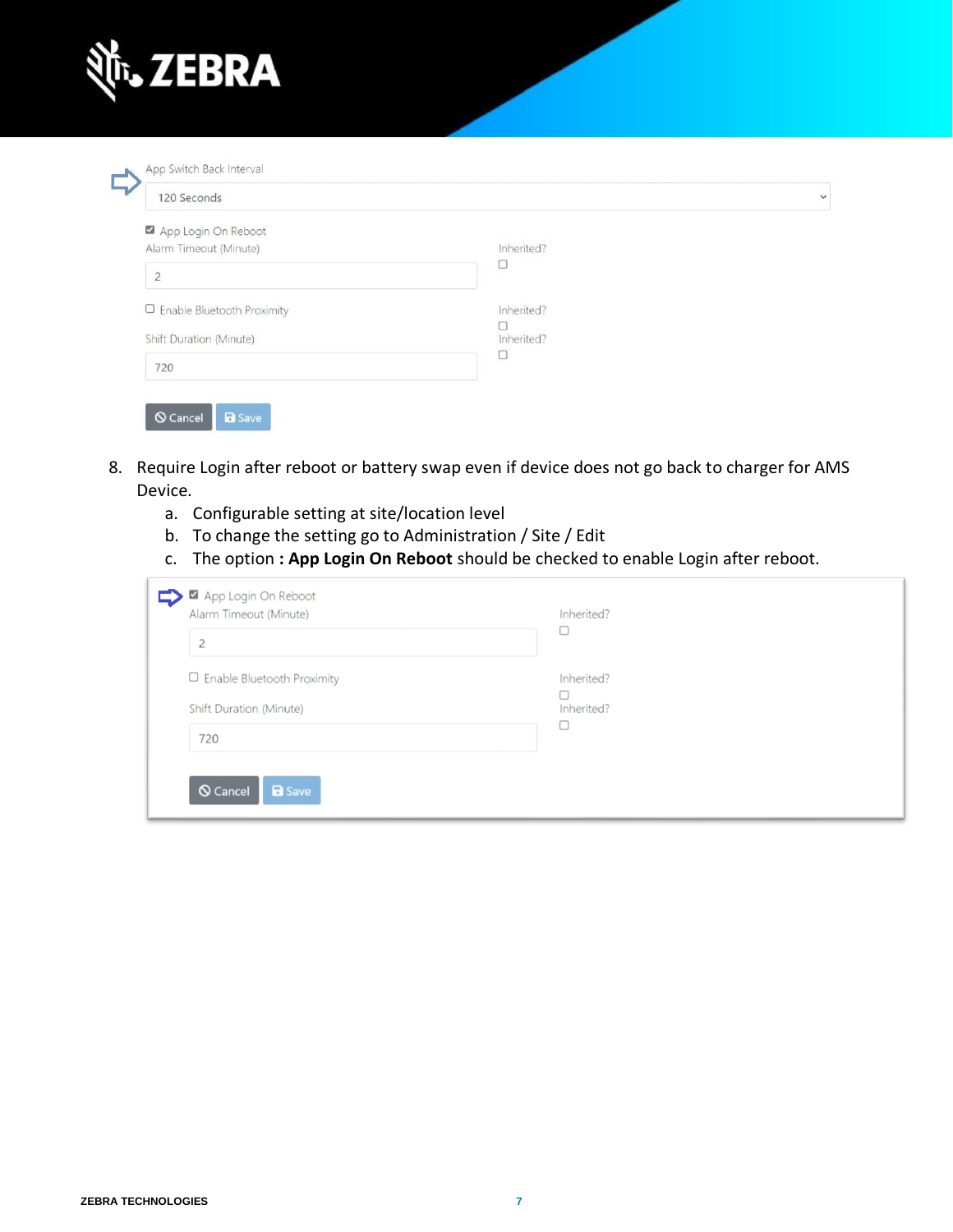

| 120 Seconds                  |            |  |
|------------------------------|------------|--|
| App Login On Reboot          |            |  |
| Alarm Timeout (Minute)       | Inherited? |  |
| $\overline{2}$               | O          |  |
| □ Enable Bluetooth Proximity | Inherited? |  |
| Shift Duration (Minute)      | Inherited? |  |
|                              | О          |  |
| 720                          |            |  |

- 8. Require Login after reboot or battery swap even if device does not go back to charger for AMS Device.
	- a. Configurable setting at site/location level
	- b. To change the setting go to Administration / Site / Edit
	- c. The option **: App Login On Reboot** should be checked to enable Login after reboot.

| Alarm Timeout (Minute)<br>$\overline{c}$ | Inherited? |
|------------------------------------------|------------|
| □ Enable Bluetooth Proximity             | Inherited? |
| Shift Duration (Minute)                  | Inherited? |
| 720                                      |            |
| O Cancel                                 |            |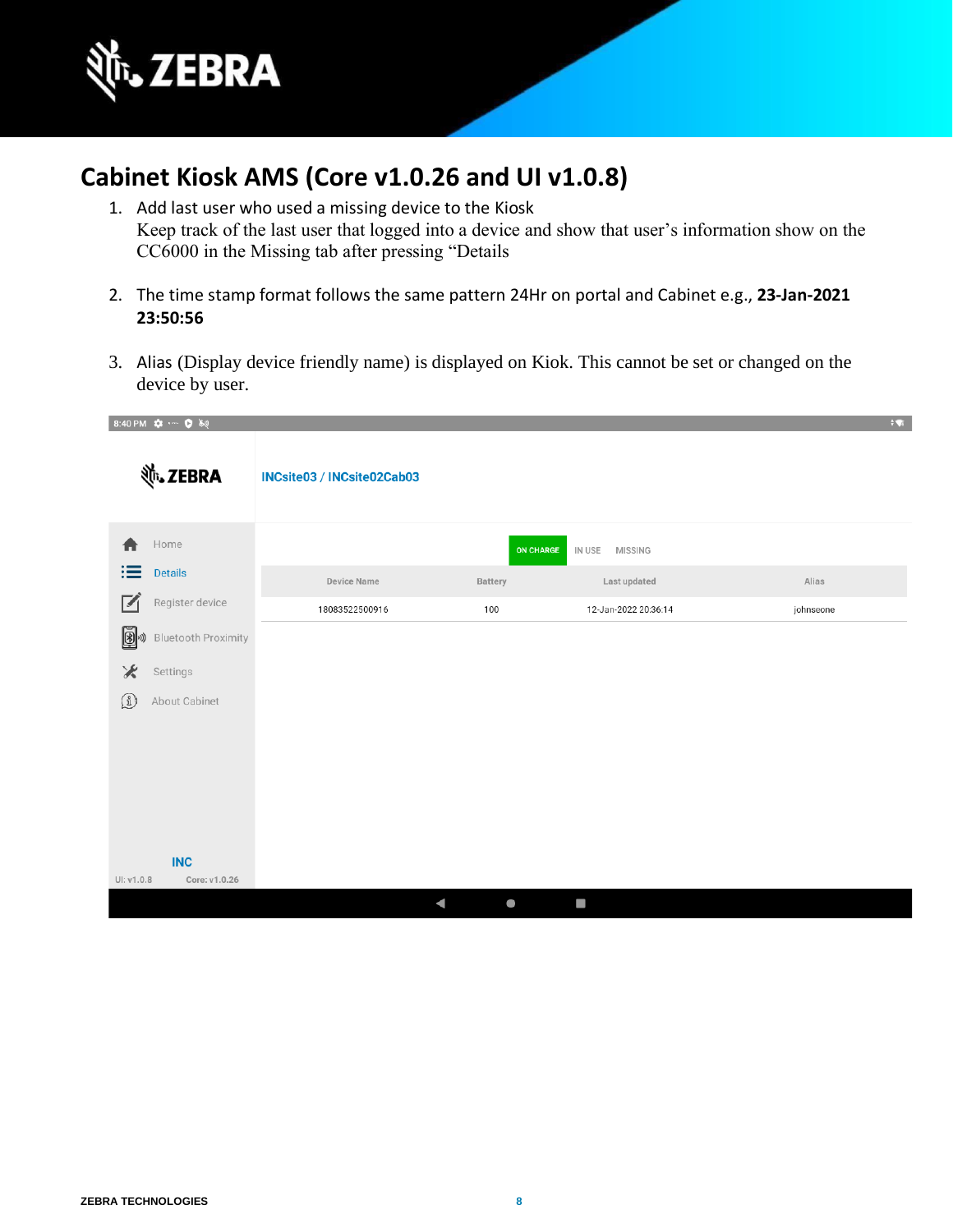

### <span id="page-7-0"></span>**Cabinet Kiosk AMS (Core v1.0.26 and UI v1.0.8)**

- 1. Add last user who used a missing device to the Kiosk Keep track of the last user that logged into a device and show that user's information show on the CC6000 in the Missing tab after pressing "Details
- 2. The time stamp format follows the same pattern 24Hr on portal and Cabinet e.g., **23-Jan-2021 23:50:56**
- 3. Alias (Display device friendly name) is displayed on Kiok. This cannot be set or changed on the device by user.

| 8:40 PM $\bullet \cdots \bullet \bullet$ |                         |                            |           |                          | $\pm \pmb{\nabla}$ |
|------------------------------------------|-------------------------|----------------------------|-----------|--------------------------|--------------------|
|                                          | र्णेष् <b>, ZEBRA</b>   | INCsite03 / INCsite02Cab03 |           |                          |                    |
|                                          | Home                    |                            | ON CHARGE | IN USE<br><b>MISSING</b> |                    |
| ≔                                        | Details                 | Device Name                | Battery   | Last updated             | Alias              |
| $\blacksquare$                           | Register device         | 18083522500916             | 100       | 12-Jan-2022 20:36:14     | johnseone          |
|                                          | 3 3 Bluetooth Proximity |                            |           |                          |                    |
| ⋇                                        | Settings                |                            |           |                          |                    |
| $\Omega$                                 | About Cabinet           |                            |           |                          |                    |
|                                          |                         |                            |           |                          |                    |
|                                          |                         |                            |           |                          |                    |
|                                          |                         |                            |           |                          |                    |
|                                          |                         |                            |           |                          |                    |
|                                          |                         |                            |           |                          |                    |
| UI: v1.0.8                               | INC<br>Core: v1.0.26    |                            |           |                          |                    |
|                                          |                         | $\blacktriangleleft$       | $\bullet$ | <b>COL</b>               |                    |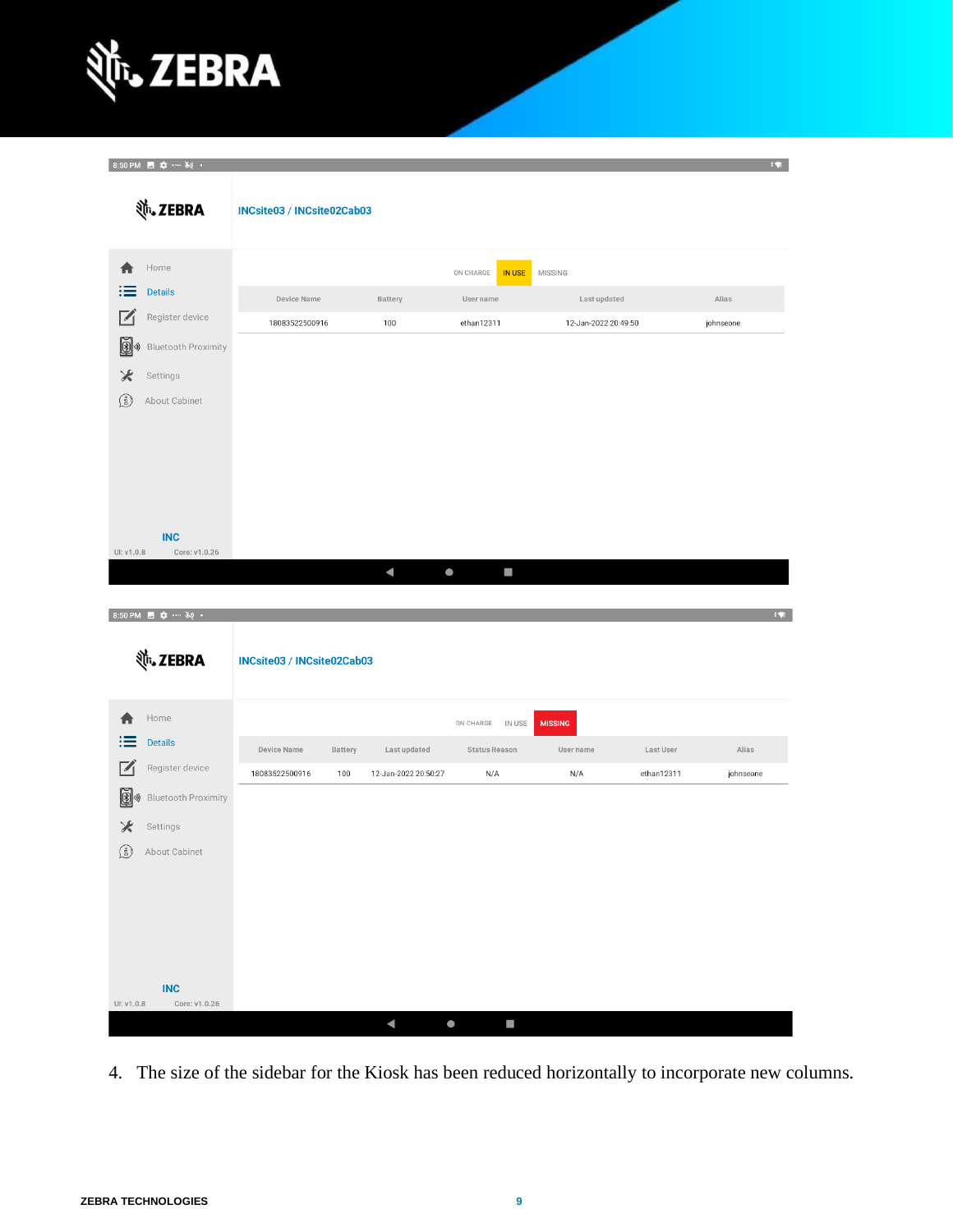

 $0.50 \text{ D14}$   $\blacksquare$   $\clubsuit$   $\blacksquare$   $\blacksquare$   $\blacksquare$   $\blacksquare$   $\blacksquare$ 

| $0.30$ F $W_1$<br><b>並、ZEBRA</b>                                                                                                                                 | INCsite03 / INCsite02Cab03    |                |                                      |                                                       |                                                        |                         | .                  |
|------------------------------------------------------------------------------------------------------------------------------------------------------------------|-------------------------------|----------------|--------------------------------------|-------------------------------------------------------|--------------------------------------------------------|-------------------------|--------------------|
| Home<br><b>Details</b><br>$\overline{V}$<br>Register device<br>Ø<br><b>Bluetooth Proximity</b><br>⊁<br>Settings<br>$\left( \frac{3}{2} \right)$<br>About Cabinet | Device Name<br>18083522500916 |                | Battery<br>100                       | ON CHARGE<br><b>IN USE</b><br>User name<br>ethan12311 | <b>MISSING</b><br>Last updated<br>12-Jan-2022 20:49:50 |                         | Alias<br>johnseone |
| <b>INC</b><br>UI: v1.0.8<br>Core: v1.0.26<br>8:50 PM 图 章 … 美 ·                                                                                                   |                               |                | $\blacktriangleleft$                 | $\bullet$                                             |                                                        |                         | FW.                |
| <b>並、ZEBRA</b>                                                                                                                                                   | INCsite03 / INCsite02Cab03    |                |                                      |                                                       |                                                        |                         |                    |
| Home<br><b>Details</b><br>Register device<br>∣◢<br>Ø<br><b>Bluetooth Proximity</b><br>I))<br>⊁<br>Settings<br>$\left( \frac{3}{2} \right)$<br>About Cabinet      | Device Name<br>18083522500916 | Battery<br>100 | Last updated<br>12-Jan-2022 20:50:27 | IN USE<br>ON CHARGE<br>Status Reason<br>N/A           | <b>MISSING</b><br>User name<br>N/A                     | Last User<br>ethan12311 | Alias<br>johnseone |

 $\sim$ 

4. The size of the sidebar for the Kiosk has been reduced horizontally to incorporate new columns.

 $\bullet$ 

 $\blacktriangleleft$ 

 $INC$ 

Core: v1.0.26

UI: v1.0.8

**C**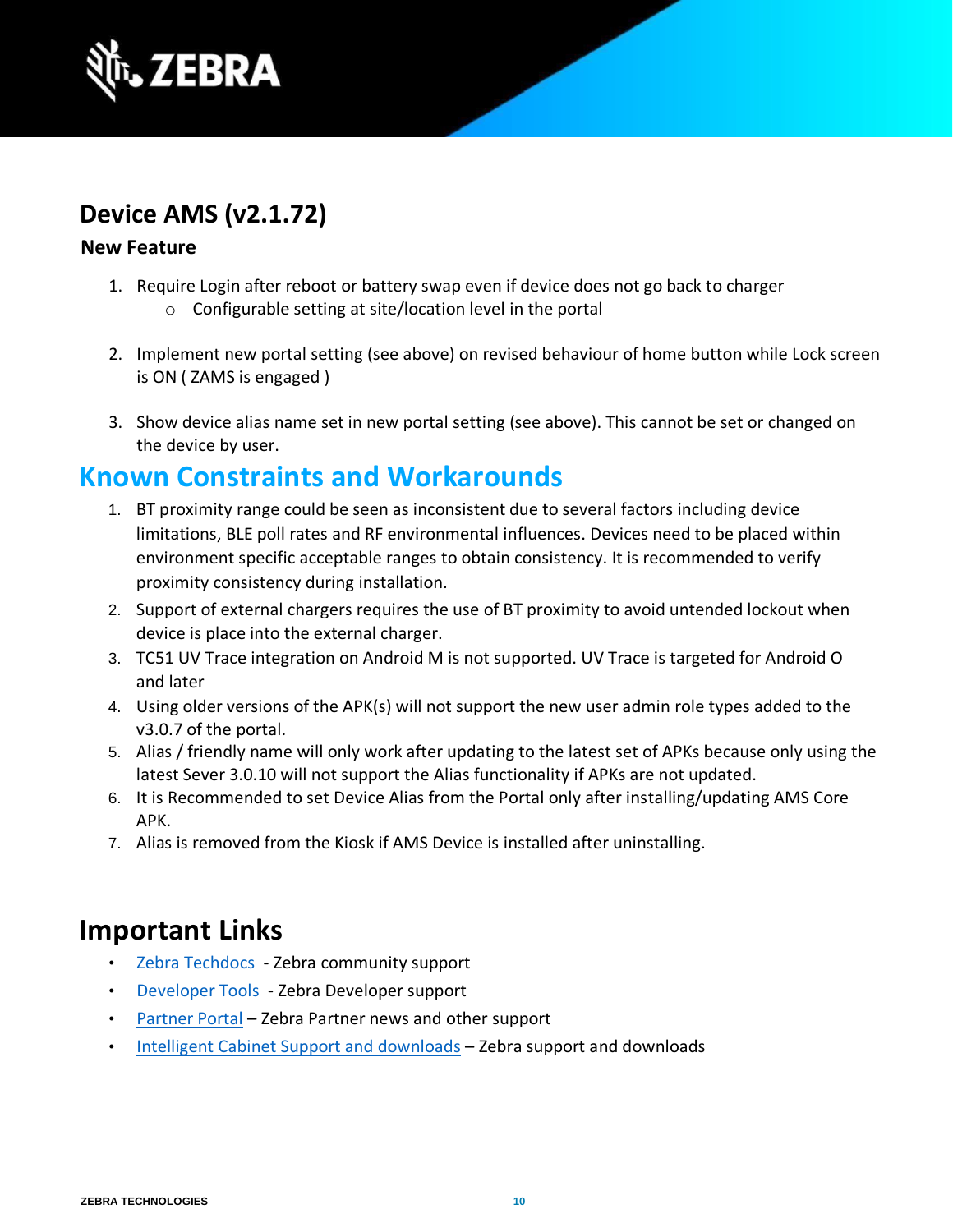

### <span id="page-9-0"></span>**Device AMS (v2.1.72)**

#### **New Feature**

- 1. Require Login after reboot or battery swap even if device does not go back to charger o Configurable setting at site/location level in the portal
- 2. Implement new portal setting (see above) on revised behaviour of home button while Lock screen is ON ( ZAMS is engaged )
- 3. Show device alias name set in new portal setting (see above). This cannot be set or changed on the device by user.

### <span id="page-9-1"></span>**Known Constraints and Workarounds**

- 1. BT proximity range could be seen as inconsistent due to several factors including device limitations, BLE poll rates and RF environmental influences. Devices need to be placed within environment specific acceptable ranges to obtain consistency. It is recommended to verify proximity consistency during installation.
- 2. Support of external chargers requires the use of BT proximity to avoid untended lockout when device is place into the external charger.
- 3. TC51 UV Trace integration on Android M is not supported. UV Trace is targeted for Android O and later
- 4. Using older versions of the APK(s) will not support the new user admin role types added to the v3.0.7 of the portal.
- 5. Alias / friendly name will only work after updating to the latest set of APKs because only using the latest Sever 3.0.10 will not support the Alias functionality if APKs are not updated.
- 6. It is Recommended to set Device Alias from the Portal only after installing/updating AMS Core APK.
- 7. Alias is removed from the Kiosk if AMS Device is installed after uninstalling.

### <span id="page-9-2"></span>**Important Links**

- [Zebra Techdocs -](https://techdocs.zebra.com/) Zebra community support
- [Developer Tools -](https://developer.zebra.com/) Zebra Developer support
- [Partner Portal](https://partnerportal.zebra.com/PartnerPortal/index.aspx) [–](https://partnerportal.zebra.com/PartnerPortal/index.aspx) Zebra Partner news and other support
- [Intelligent Cabinet Support and downloads](https://www.zebra.com/us/en/support-downloads/software/productivity-apps/intelligent-cabinets.html) [–](https://www.zebra.com/us/en/support-downloads/software/productivity-apps/intelligent-cabinets.html) Zebra support and downloads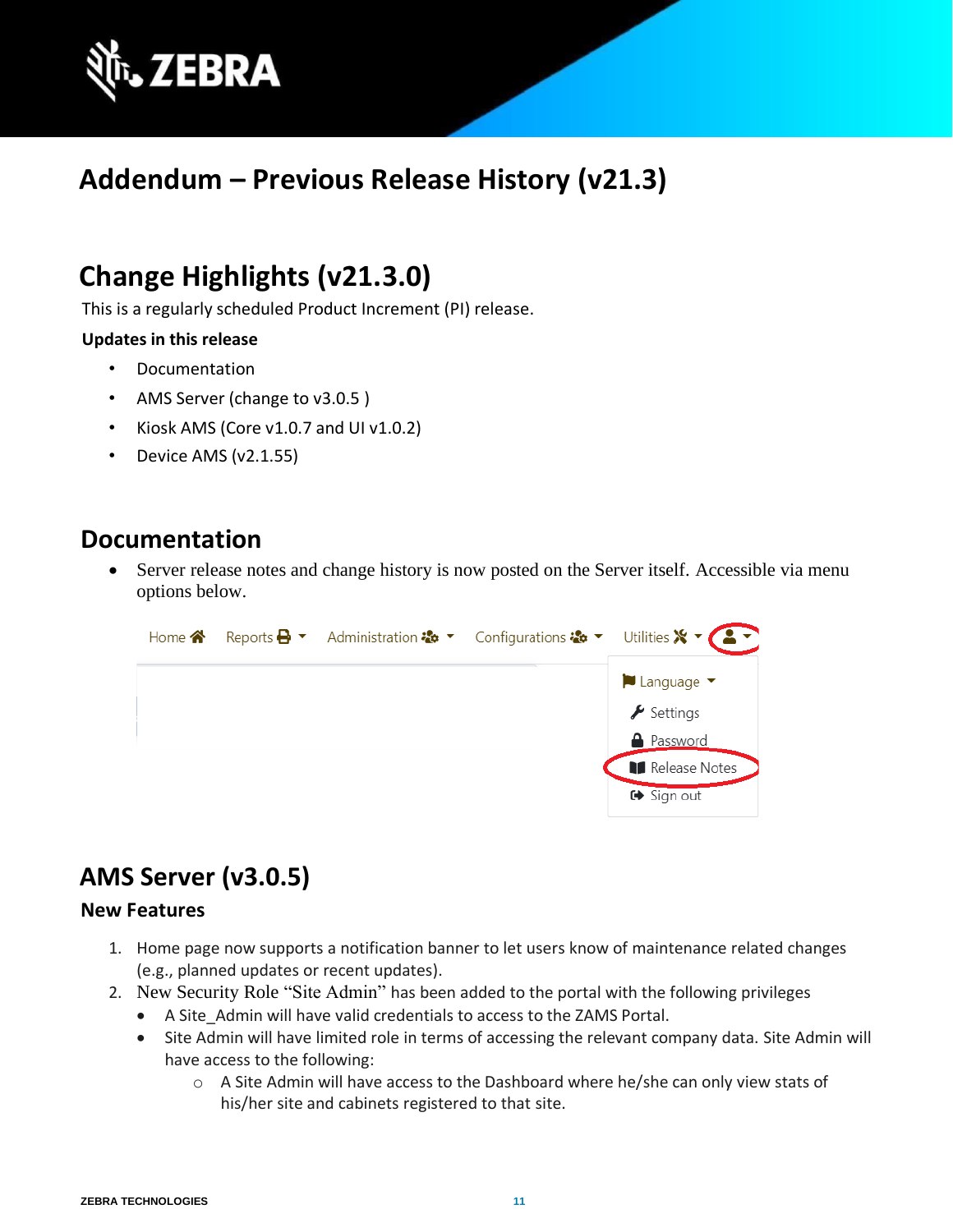

# <span id="page-10-0"></span>**Addendum – Previous Release History (v21.3)**

# <span id="page-10-1"></span>**Change Highlights (v21.3.0)**

This is a regularly scheduled Product Increment (PI) release.

#### **Updates in this release**

- Documentation
- AMS Server (change to v3.0.5 )
- Kiosk AMS (Core v1.0.7 and UI v1.0.2)
- Device AMS (v2.1.55)

### <span id="page-10-2"></span>**Documentation**

Server release notes and change history is now posted on the Server itself. Accessible via menu options below.



## <span id="page-10-3"></span>**AMS Server (v3.0.5)**

#### **New Features**

- 1. Home page now supports a notification banner to let users know of maintenance related changes (e.g., planned updates or recent updates).
- 2. New Security Role "Site Admin" has been added to the portal with the following privileges
	- A Site\_Admin will have valid credentials to access to the ZAMS Portal.
	- Site Admin will have limited role in terms of accessing the relevant company data. Site Admin will have access to the following:
		- o A Site Admin will have access to the Dashboard where he/she can only view stats of his/her site and cabinets registered to that site.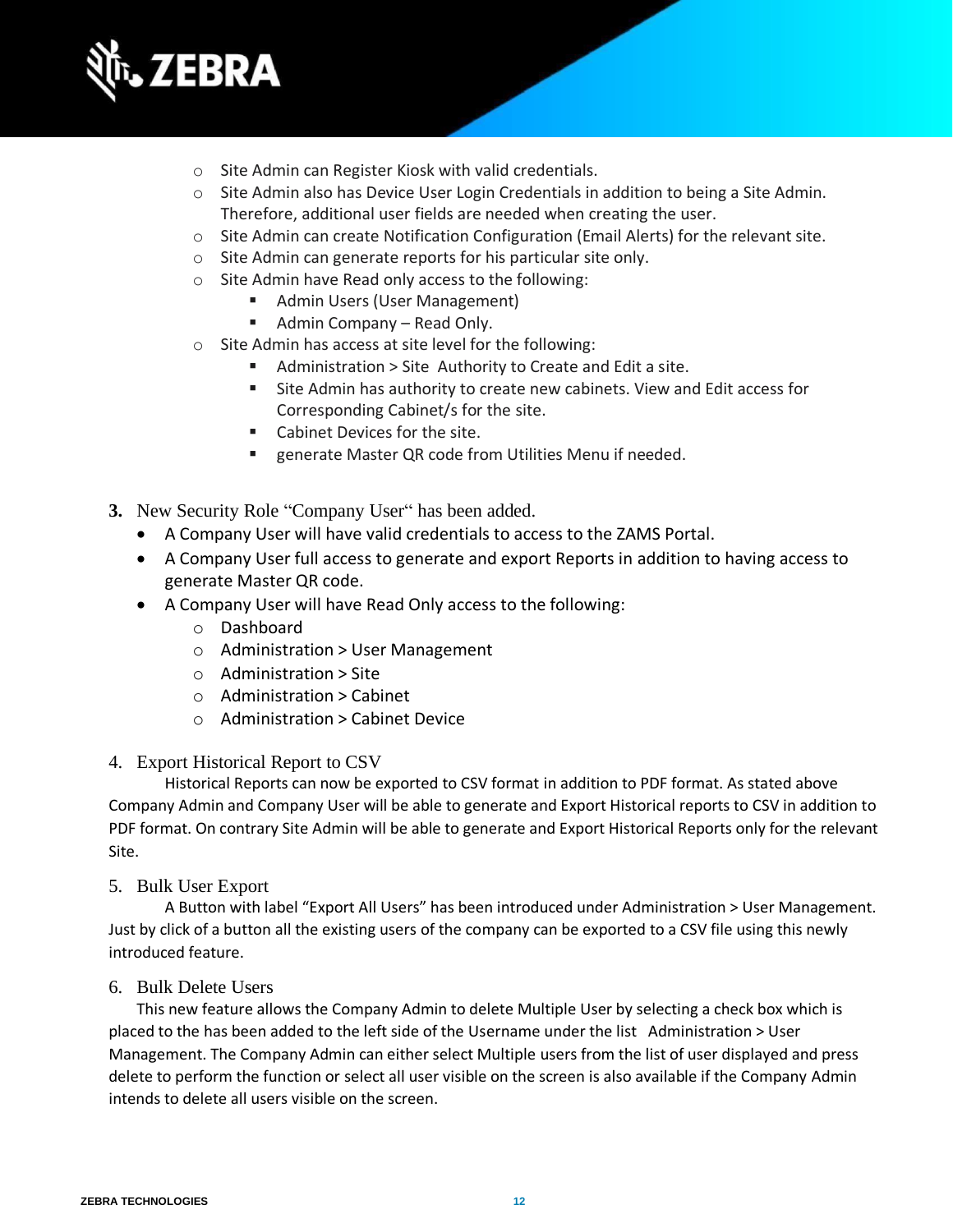

- o Site Admin can Register Kiosk with valid credentials.
- o Site Admin also has Device User Login Credentials in addition to being a Site Admin. Therefore, additional user fields are needed when creating the user.
- $\circ$  Site Admin can create Notification Configuration (Email Alerts) for the relevant site.
- o Site Admin can generate reports for his particular site only.
- o Site Admin have Read only access to the following:
	- Admin Users (User Management)
		- Admin Company Read Only.
- o Site Admin has access at site level for the following:
	- Administration > Site Authority to Create and Edit a site.
	- Site Admin has authority to create new cabinets. View and Edit access for Corresponding Cabinet/s for the site.
	- Cabinet Devices for the site.
	- generate Master QR code from Utilities Menu if needed.
- **3.** New Security Role "Company User" has been added.
	- A Company User will have valid credentials to access to the ZAMS Portal.
	- A Company User full access to generate and export Reports in addition to having access to generate Master QR code.
	- A Company User will have Read Only access to the following:
		- o Dashboard
		- o Administration > User Management
		- o Administration > Site
		- $\circ$  Administration > Cabinet
		- o Administration > Cabinet Device

#### 4. Export Historical Report to CSV

Historical Reports can now be exported to CSV format in addition to PDF format. As stated above Company Admin and Company User will be able to generate and Export Historical reports to CSV in addition to PDF format. On contrary Site Admin will be able to generate and Export Historical Reports only for the relevant Site.

5. Bulk User Export

A Button with label "Export All Users" has been introduced under Administration > User Management. Just by click of a button all the existing users of the company can be exported to a CSV file using this newly introduced feature.

#### 6. Bulk Delete Users

This new feature allows the Company Admin to delete Multiple User by selecting a check box which is placed to the has been added to the left side of the Username under the list Administration > User Management. The Company Admin can either select Multiple users from the list of user displayed and press delete to perform the function or select all user visible on the screen is also available if the Company Admin intends to delete all users visible on the screen.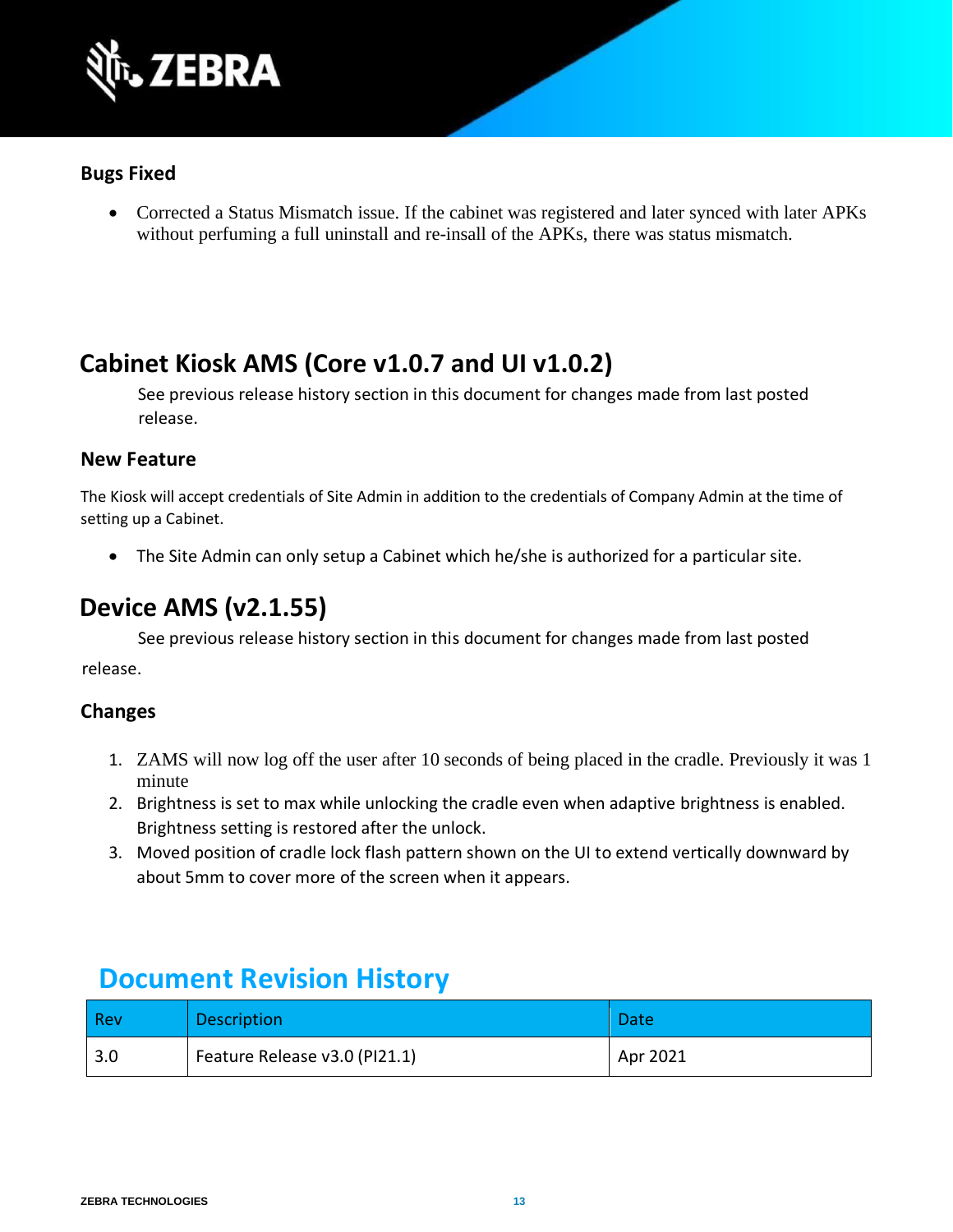

#### **Bugs Fixed**

• Corrected a Status Mismatch issue. If the cabinet was registered and later synced with later APKs without perfuming a full uninstall and re-insall of the APKs, there was status mismatch.

### <span id="page-12-0"></span>**Cabinet Kiosk AMS (Core v1.0.7 and UI v1.0.2)**

See previous release history section in this document for changes made from last posted release.

#### **New Feature**

The Kiosk will accept credentials of Site Admin in addition to the credentials of Company Admin at the time of setting up a Cabinet.

• The Site Admin can only setup a Cabinet which he/she is authorized for a particular site.

### <span id="page-12-1"></span>**Device AMS (v2.1.55)**

See previous release history section in this document for changes made from last posted release.

#### **Changes**

- 1. ZAMS will now log off the user after 10 seconds of being placed in the cradle. Previously it was 1 minute
- 2. Brightness is set to max while unlocking the cradle even when adaptive brightness is enabled. Brightness setting is restored after the unlock.
- 3. Moved position of cradle lock flash pattern shown on the UI to extend vertically downward by about 5mm to cover more of the screen when it appears.

### <span id="page-12-2"></span> **Document Revision History**

| Rev | <b>Description</b>            | <b>Date</b> |
|-----|-------------------------------|-------------|
| 3.0 | Feature Release v3.0 (PI21.1) | Apr 2021    |